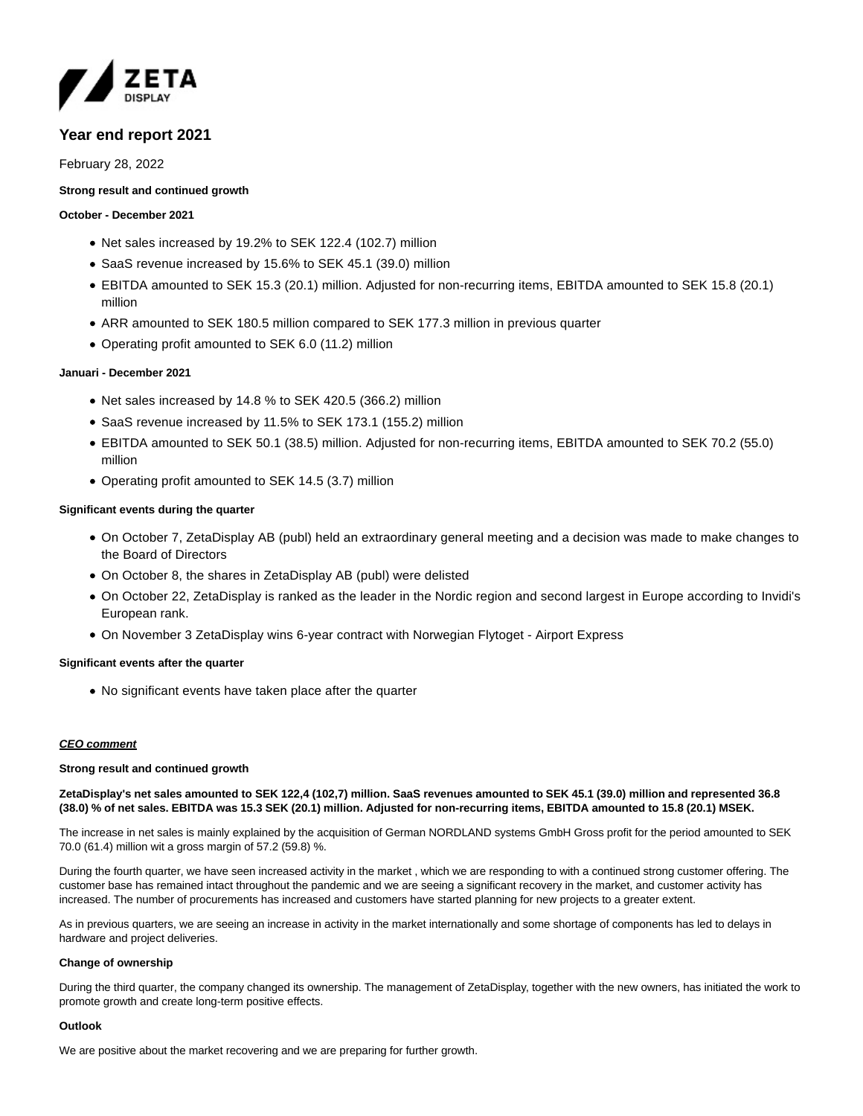

# **Year end report 2021**

# February 28, 2022

# **Strong result and continued growth**

## **October - December 2021**

- Net sales increased by 19.2% to SEK 122.4 (102.7) million
- SaaS revenue increased by 15.6% to SEK 45.1 (39.0) million
- EBITDA amounted to SEK 15.3 (20.1) million. Adjusted for non-recurring items, EBITDA amounted to SEK 15.8 (20.1) million
- ARR amounted to SEK 180.5 million compared to SEK 177.3 million in previous quarter
- Operating profit amounted to SEK 6.0 (11.2) million

## **Januari - December 2021**

- Net sales increased by 14.8 % to SEK 420.5 (366.2) million
- SaaS revenue increased by 11.5% to SEK 173.1 (155.2) million
- EBITDA amounted to SEK 50.1 (38.5) million. Adjusted for non-recurring items, EBITDA amounted to SEK 70.2 (55.0) million
- Operating profit amounted to SEK 14.5 (3.7) million

# **Significant events during the quarter**

- On October 7, ZetaDisplay AB (publ) held an extraordinary general meeting and a decision was made to make changes to the Board of Directors
- On October 8, the shares in ZetaDisplay AB (publ) were delisted
- On October 22, ZetaDisplay is ranked as the leader in the Nordic region and second largest in Europe according to Invidi's European rank.
- On November 3 ZetaDisplay wins 6-year contract with Norwegian Flytoget Airport Express

## **Significant events after the quarter**

No significant events have taken place after the quarter

# **CEO comment**

#### **Strong result and continued growth**

## **ZetaDisplay's net sales amounted to SEK 122,4 (102,7) million. SaaS revenues amounted to SEK 45.1 (39.0) million and represented 36.8 (38.0) % of net sales. EBITDA was 15.3 SEK (20.1) million. Adjusted for non-recurring items, EBITDA amounted to 15.8 (20.1) MSEK.**

The increase in net sales is mainly explained by the acquisition of German NORDLAND systems GmbH Gross profit for the period amounted to SEK 70.0 (61.4) million wit a gross margin of 57.2 (59.8) %.

During the fourth quarter, we have seen increased activity in the market , which we are responding to with a continued strong customer offering. The customer base has remained intact throughout the pandemic and we are seeing a significant recovery in the market, and customer activity has increased. The number of procurements has increased and customers have started planning for new projects to a greater extent.

As in previous quarters, we are seeing an increase in activity in the market internationally and some shortage of components has led to delays in hardware and project deliveries.

## **Change of ownership**

During the third quarter, the company changed its ownership. The management of ZetaDisplay, together with the new owners, has initiated the work to promote growth and create long-term positive effects.

#### **Outlook**

We are positive about the market recovering and we are preparing for further growth.